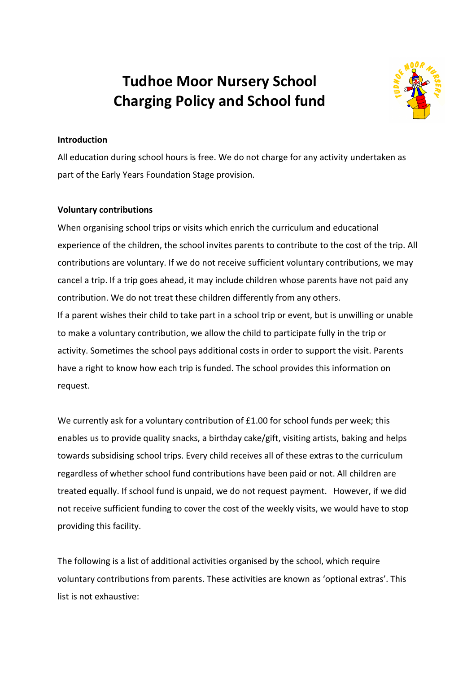# **Tudhoe Moor Nursery School Charging Policy and School fund**



## **Introduction**

All education during school hours is free. We do not charge for any activity undertaken as part of the Early Years Foundation Stage provision.

### **Voluntary contributions**

When organising school trips or visits which enrich the curriculum and educational experience of the children, the school invites parents to contribute to the cost of the trip. All contributions are voluntary. If we do not receive sufficient voluntary contributions, we may cancel a trip. If a trip goes ahead, it may include children whose parents have not paid any contribution. We do not treat these children differently from any others. If a parent wishes their child to take part in a school trip or event, but is unwilling or unable to make a voluntary contribution, we allow the child to participate fully in the trip or activity. Sometimes the school pays additional costs in order to support the visit. Parents have a right to know how each trip is funded. The school provides this information on request.

We currently ask for a voluntary contribution of £1.00 for school funds per week; this enables us to provide quality snacks, a birthday cake/gift, visiting artists, baking and helps towards subsidising school trips. Every child receives all of these extras to the curriculum regardless of whether school fund contributions have been paid or not. All children are treated equally. If school fund is unpaid, we do not request payment. However, if we did not receive sufficient funding to cover the cost of the weekly visits, we would have to stop providing this facility.

The following is a list of additional activities organised by the school, which require voluntary contributions from parents. These activities are known as 'optional extras'. This list is not exhaustive: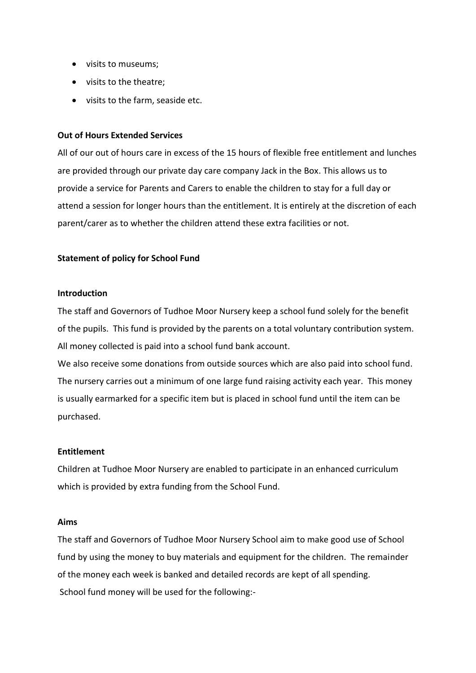- visits to museums;
- visits to the theatre;
- visits to the farm, seaside etc.

#### **Out of Hours Extended Services**

All of our out of hours care in excess of the 15 hours of flexible free entitlement and lunches are provided through our private day care company Jack in the Box. This allows us to provide a service for Parents and Carers to enable the children to stay for a full day or attend a session for longer hours than the entitlement. It is entirely at the discretion of each parent/carer as to whether the children attend these extra facilities or not.

### **Statement of policy for School Fund**

#### **Introduction**

The staff and Governors of Tudhoe Moor Nursery keep a school fund solely for the benefit of the pupils. This fund is provided by the parents on a total voluntary contribution system. All money collected is paid into a school fund bank account.

We also receive some donations from outside sources which are also paid into school fund. The nursery carries out a minimum of one large fund raising activity each year. This money is usually earmarked for a specific item but is placed in school fund until the item can be purchased.

#### **Entitlement**

Children at Tudhoe Moor Nursery are enabled to participate in an enhanced curriculum which is provided by extra funding from the School Fund.

#### **Aims**

The staff and Governors of Tudhoe Moor Nursery School aim to make good use of School fund by using the money to buy materials and equipment for the children. The remainder of the money each week is banked and detailed records are kept of all spending. School fund money will be used for the following:-